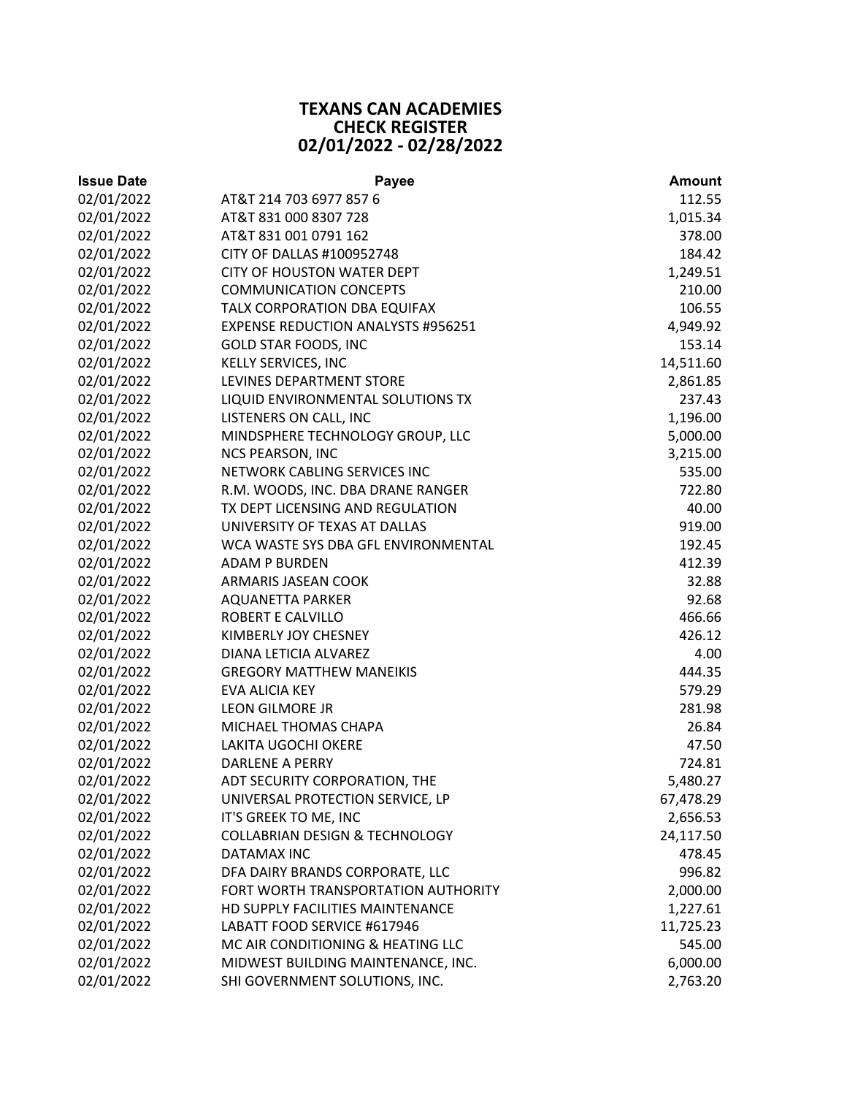## **TEXANS CAN ACADEMIES CHECK REGISTER 02/01/2022 ‐ 02/28/2022**

| <b>Issue Date</b> | <b>Payee</b>                              | <b>Amount</b> |
|-------------------|-------------------------------------------|---------------|
| 02/01/2022        | AT&T 214 703 6977 857 6                   | 112.55        |
| 02/01/2022        | AT&T 831 000 8307 728                     | 1,015.34      |
| 02/01/2022        | AT&T 831 001 0791 162                     | 378.00        |
| 02/01/2022        | CITY OF DALLAS #100952748                 | 184.42        |
| 02/01/2022        | <b>CITY OF HOUSTON WATER DEPT</b>         | 1,249.51      |
| 02/01/2022        | <b>COMMUNICATION CONCEPTS</b>             | 210.00        |
| 02/01/2022        | TALX CORPORATION DBA EQUIFAX              | 106.55        |
| 02/01/2022        | <b>EXPENSE REDUCTION ANALYSTS #956251</b> | 4,949.92      |
| 02/01/2022        | <b>GOLD STAR FOODS, INC</b>               | 153.14        |
| 02/01/2022        | KELLY SERVICES, INC                       | 14,511.60     |
| 02/01/2022        | LEVINES DEPARTMENT STORE                  | 2,861.85      |
| 02/01/2022        | LIQUID ENVIRONMENTAL SOLUTIONS TX         | 237.43        |
| 02/01/2022        | LISTENERS ON CALL, INC                    | 1,196.00      |
| 02/01/2022        | MINDSPHERE TECHNOLOGY GROUP, LLC          | 5,000.00      |
| 02/01/2022        | <b>NCS PEARSON, INC</b>                   | 3,215.00      |
| 02/01/2022        | NETWORK CABLING SERVICES INC              | 535.00        |
| 02/01/2022        | R.M. WOODS, INC. DBA DRANE RANGER         | 722.80        |
| 02/01/2022        | TX DEPT LICENSING AND REGULATION          | 40.00         |
| 02/01/2022        | UNIVERSITY OF TEXAS AT DALLAS             | 919.00        |
| 02/01/2022        | WCA WASTE SYS DBA GFL ENVIRONMENTAL       | 192.45        |
| 02/01/2022        | <b>ADAM P BURDEN</b>                      | 412.39        |
| 02/01/2022        | ARMARIS JASEAN COOK                       | 32.88         |
| 02/01/2022        | <b>AQUANETTA PARKER</b>                   | 92.68         |
| 02/01/2022        | ROBERT E CALVILLO                         | 466.66        |
| 02/01/2022        | KIMBERLY JOY CHESNEY                      | 426.12        |
| 02/01/2022        | DIANA LETICIA ALVAREZ                     | 4.00          |
| 02/01/2022        | <b>GREGORY MATTHEW MANEIKIS</b>           | 444.35        |
| 02/01/2022        | EVA ALICIA KEY                            | 579.29        |
| 02/01/2022        | <b>LEON GILMORE JR</b>                    | 281.98        |
| 02/01/2022        | MICHAEL THOMAS CHAPA                      | 26.84         |
| 02/01/2022        | LAKITA UGOCHI OKERE                       | 47.50         |
| 02/01/2022        | <b>DARLENE A PERRY</b>                    | 724.81        |
| 02/01/2022        | ADT SECURITY CORPORATION, THE             | 5,480.27      |
| 02/01/2022        | UNIVERSAL PROTECTION SERVICE, LP          | 67,478.29     |
| 02/01/2022        | IT'S GREEK TO ME, INC                     | 2,656.53      |
| 02/01/2022        | <b>COLLABRIAN DESIGN &amp; TECHNOLOGY</b> | 24,117.50     |
| 02/01/2022        | DATAMAX INC                               | 478.45        |
| 02/01/2022        | DFA DAIRY BRANDS CORPORATE, LLC           | 996.82        |
| 02/01/2022        | FORT WORTH TRANSPORTATION AUTHORITY       | 2,000.00      |
| 02/01/2022        | HD SUPPLY FACILITIES MAINTENANCE          | 1,227.61      |
| 02/01/2022        | LABATT FOOD SERVICE #617946               | 11,725.23     |
| 02/01/2022        | MC AIR CONDITIONING & HEATING LLC         | 545.00        |
| 02/01/2022        | MIDWEST BUILDING MAINTENANCE, INC.        | 6,000.00      |
| 02/01/2022        | SHI GOVERNMENT SOLUTIONS, INC.            | 2,763.20      |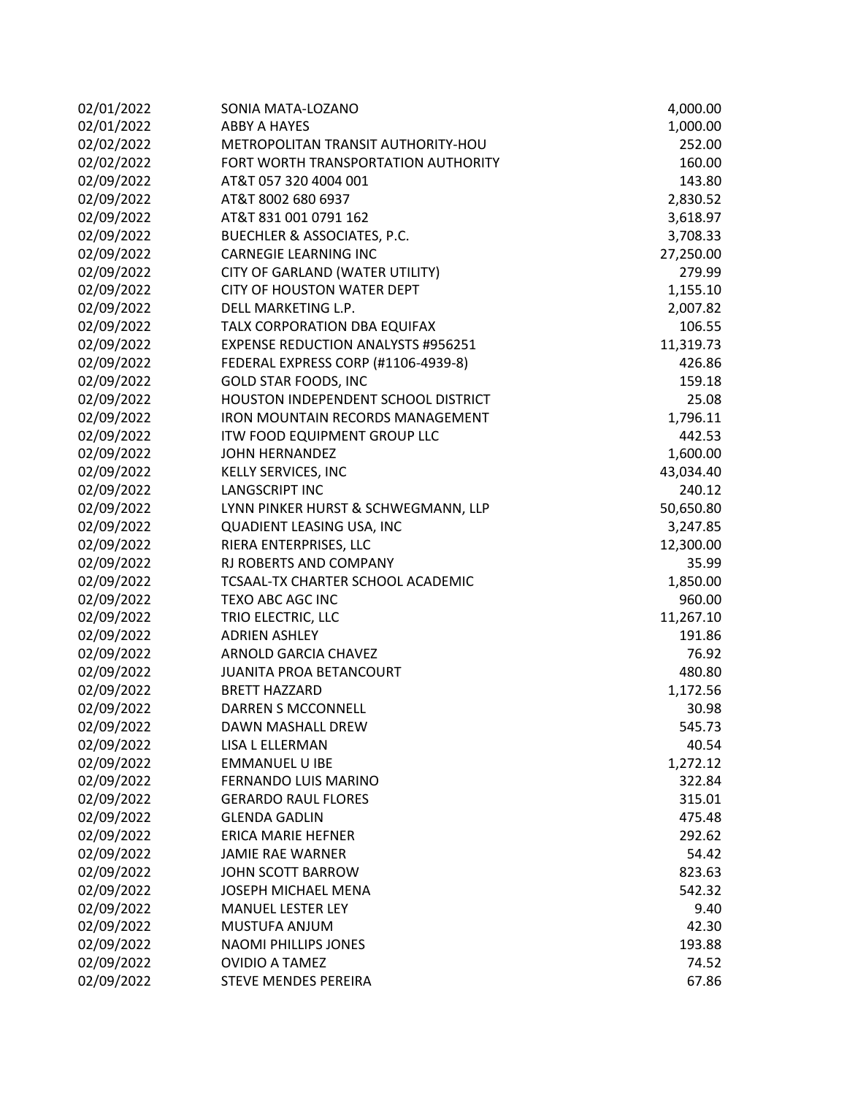| 02/01/2022 | SONIA MATA-LOZANO                         | 4,000.00  |
|------------|-------------------------------------------|-----------|
| 02/01/2022 | <b>ABBY A HAYES</b>                       | 1,000.00  |
| 02/02/2022 | METROPOLITAN TRANSIT AUTHORITY-HOU        | 252.00    |
| 02/02/2022 | FORT WORTH TRANSPORTATION AUTHORITY       | 160.00    |
| 02/09/2022 | AT&T 057 320 4004 001                     | 143.80    |
| 02/09/2022 | AT&T 8002 680 6937                        | 2,830.52  |
| 02/09/2022 | AT&T 831 001 0791 162                     | 3,618.97  |
| 02/09/2022 | BUECHLER & ASSOCIATES, P.C.               | 3,708.33  |
| 02/09/2022 | <b>CARNEGIE LEARNING INC</b>              | 27,250.00 |
| 02/09/2022 | CITY OF GARLAND (WATER UTILITY)           | 279.99    |
| 02/09/2022 | <b>CITY OF HOUSTON WATER DEPT</b>         | 1,155.10  |
| 02/09/2022 | DELL MARKETING L.P.                       | 2,007.82  |
| 02/09/2022 | TALX CORPORATION DBA EQUIFAX              | 106.55    |
| 02/09/2022 | <b>EXPENSE REDUCTION ANALYSTS #956251</b> | 11,319.73 |
| 02/09/2022 | FEDERAL EXPRESS CORP (#1106-4939-8)       | 426.86    |
| 02/09/2022 | <b>GOLD STAR FOODS, INC</b>               | 159.18    |
| 02/09/2022 | HOUSTON INDEPENDENT SCHOOL DISTRICT       | 25.08     |
| 02/09/2022 | <b>IRON MOUNTAIN RECORDS MANAGEMENT</b>   | 1,796.11  |
| 02/09/2022 | ITW FOOD EQUIPMENT GROUP LLC              | 442.53    |
| 02/09/2022 | <b>JOHN HERNANDEZ</b>                     | 1,600.00  |
| 02/09/2022 | KELLY SERVICES, INC                       | 43,034.40 |
| 02/09/2022 | <b>LANGSCRIPT INC</b>                     | 240.12    |
| 02/09/2022 | LYNN PINKER HURST & SCHWEGMANN, LLP       | 50,650.80 |
| 02/09/2022 | QUADIENT LEASING USA, INC                 | 3,247.85  |
| 02/09/2022 | RIERA ENTERPRISES, LLC                    | 12,300.00 |
| 02/09/2022 | RJ ROBERTS AND COMPANY                    | 35.99     |
| 02/09/2022 | TCSAAL-TX CHARTER SCHOOL ACADEMIC         | 1,850.00  |
| 02/09/2022 | TEXO ABC AGC INC                          | 960.00    |
| 02/09/2022 | TRIO ELECTRIC, LLC                        | 11,267.10 |
| 02/09/2022 | <b>ADRIEN ASHLEY</b>                      | 191.86    |
| 02/09/2022 | <b>ARNOLD GARCIA CHAVEZ</b>               | 76.92     |
| 02/09/2022 | JUANITA PROA BETANCOURT                   | 480.80    |
| 02/09/2022 | <b>BRETT HAZZARD</b>                      | 1,172.56  |
| 02/09/2022 | DARREN S MCCONNELL                        | 30.98     |
| 02/09/2022 | DAWN MASHALL DREW                         | 545.73    |
| 02/09/2022 | LISA L ELLERMAN                           | 40.54     |
| 02/09/2022 | <b>EMMANUEL U IBE</b>                     | 1,272.12  |
| 02/09/2022 | FERNANDO LUIS MARINO                      | 322.84    |
| 02/09/2022 | <b>GERARDO RAUL FLORES</b>                | 315.01    |
| 02/09/2022 | <b>GLENDA GADLIN</b>                      | 475.48    |
| 02/09/2022 | <b>ERICA MARIE HEFNER</b>                 | 292.62    |
| 02/09/2022 | <b>JAMIE RAE WARNER</b>                   | 54.42     |
| 02/09/2022 | JOHN SCOTT BARROW                         | 823.63    |
| 02/09/2022 | JOSEPH MICHAEL MENA                       | 542.32    |
| 02/09/2022 | <b>MANUEL LESTER LEY</b>                  | 9.40      |
| 02/09/2022 | MUSTUFA ANJUM                             | 42.30     |
| 02/09/2022 | <b>NAOMI PHILLIPS JONES</b>               | 193.88    |
| 02/09/2022 | <b>OVIDIO A TAMEZ</b>                     | 74.52     |
| 02/09/2022 | STEVE MENDES PEREIRA                      | 67.86     |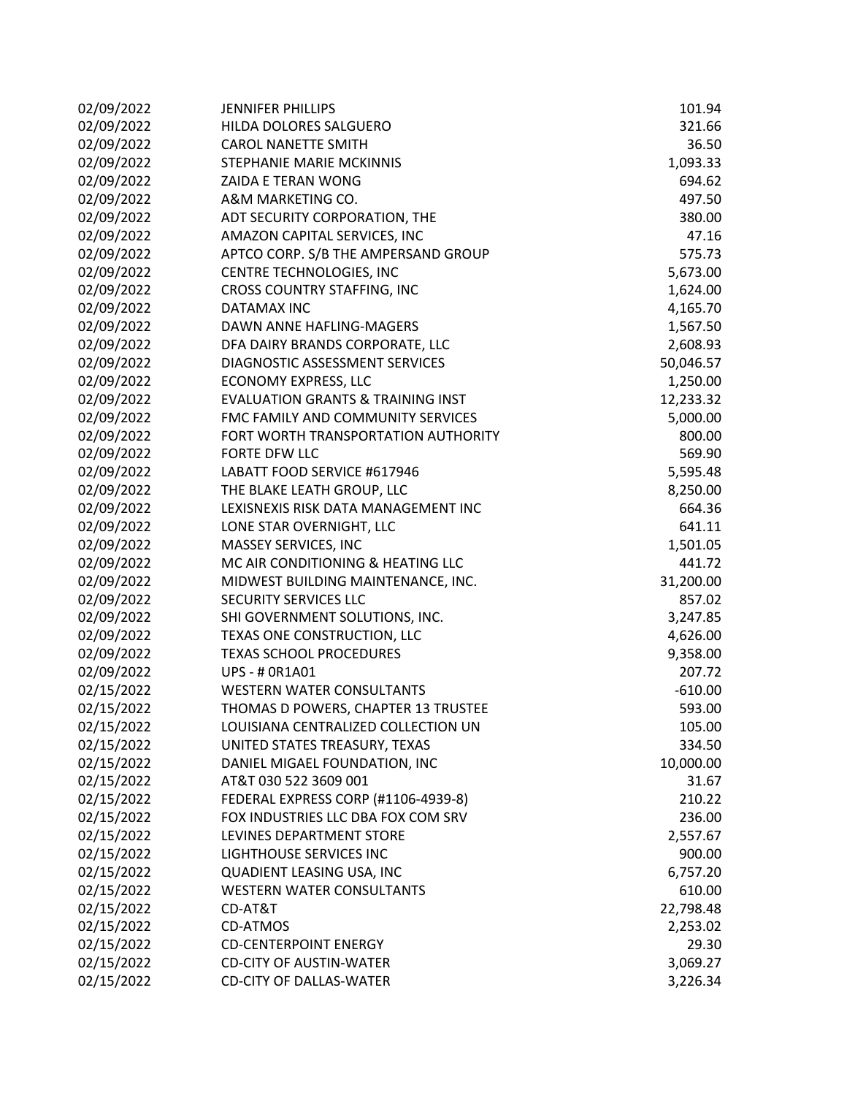| 02/09/2022 | <b>JENNIFER PHILLIPS</b>                     | 101.94    |
|------------|----------------------------------------------|-----------|
| 02/09/2022 | HILDA DOLORES SALGUERO                       | 321.66    |
| 02/09/2022 | <b>CAROL NANETTE SMITH</b>                   | 36.50     |
| 02/09/2022 | STEPHANIE MARIE MCKINNIS                     | 1,093.33  |
| 02/09/2022 | ZAIDA E TERAN WONG                           | 694.62    |
| 02/09/2022 | A&M MARKETING CO.                            | 497.50    |
| 02/09/2022 | ADT SECURITY CORPORATION, THE                | 380.00    |
| 02/09/2022 | AMAZON CAPITAL SERVICES, INC                 | 47.16     |
| 02/09/2022 | APTCO CORP. S/B THE AMPERSAND GROUP          | 575.73    |
| 02/09/2022 | CENTRE TECHNOLOGIES, INC                     | 5,673.00  |
| 02/09/2022 | CROSS COUNTRY STAFFING, INC                  | 1,624.00  |
| 02/09/2022 | <b>DATAMAX INC</b>                           | 4,165.70  |
| 02/09/2022 | DAWN ANNE HAFLING-MAGERS                     | 1,567.50  |
| 02/09/2022 | DFA DAIRY BRANDS CORPORATE, LLC              | 2,608.93  |
| 02/09/2022 | DIAGNOSTIC ASSESSMENT SERVICES               | 50,046.57 |
| 02/09/2022 | <b>ECONOMY EXPRESS, LLC</b>                  | 1,250.00  |
| 02/09/2022 | <b>EVALUATION GRANTS &amp; TRAINING INST</b> | 12,233.32 |
| 02/09/2022 | FMC FAMILY AND COMMUNITY SERVICES            | 5,000.00  |
| 02/09/2022 | FORT WORTH TRANSPORTATION AUTHORITY          | 800.00    |
| 02/09/2022 | <b>FORTE DFW LLC</b>                         | 569.90    |
| 02/09/2022 | LABATT FOOD SERVICE #617946                  | 5,595.48  |
| 02/09/2022 | THE BLAKE LEATH GROUP, LLC                   | 8,250.00  |
| 02/09/2022 | LEXISNEXIS RISK DATA MANAGEMENT INC          | 664.36    |
| 02/09/2022 | LONE STAR OVERNIGHT, LLC                     | 641.11    |
| 02/09/2022 | MASSEY SERVICES, INC                         | 1,501.05  |
| 02/09/2022 | MC AIR CONDITIONING & HEATING LLC            | 441.72    |
| 02/09/2022 | MIDWEST BUILDING MAINTENANCE, INC.           | 31,200.00 |
| 02/09/2022 | SECURITY SERVICES LLC                        | 857.02    |
| 02/09/2022 | SHI GOVERNMENT SOLUTIONS, INC.               | 3,247.85  |
| 02/09/2022 | TEXAS ONE CONSTRUCTION, LLC                  | 4,626.00  |
| 02/09/2022 | <b>TEXAS SCHOOL PROCEDURES</b>               | 9,358.00  |
| 02/09/2022 | <b>UPS - # 0R1A01</b>                        | 207.72    |
| 02/15/2022 | <b>WESTERN WATER CONSULTANTS</b>             | $-610.00$ |
| 02/15/2022 | THOMAS D POWERS, CHAPTER 13 TRUSTEE          | 593.00    |
| 02/15/2022 | LOUISIANA CENTRALIZED COLLECTION UN          | 105.00    |
| 02/15/2022 | UNITED STATES TREASURY, TEXAS                | 334.50    |
| 02/15/2022 | DANIEL MIGAEL FOUNDATION, INC                | 10,000.00 |
| 02/15/2022 | AT&T 030 522 3609 001                        | 31.67     |
| 02/15/2022 | FEDERAL EXPRESS CORP (#1106-4939-8)          | 210.22    |
| 02/15/2022 | FOX INDUSTRIES LLC DBA FOX COM SRV           | 236.00    |
| 02/15/2022 | LEVINES DEPARTMENT STORE                     | 2,557.67  |
| 02/15/2022 | <b>LIGHTHOUSE SERVICES INC</b>               | 900.00    |
| 02/15/2022 | QUADIENT LEASING USA, INC                    | 6,757.20  |
| 02/15/2022 | <b>WESTERN WATER CONSULTANTS</b>             | 610.00    |
| 02/15/2022 | CD-AT&T                                      | 22,798.48 |
| 02/15/2022 | CD-ATMOS                                     | 2,253.02  |
| 02/15/2022 | <b>CD-CENTERPOINT ENERGY</b>                 | 29.30     |
| 02/15/2022 | <b>CD-CITY OF AUSTIN-WATER</b>               | 3,069.27  |
| 02/15/2022 | <b>CD-CITY OF DALLAS-WATER</b>               | 3,226.34  |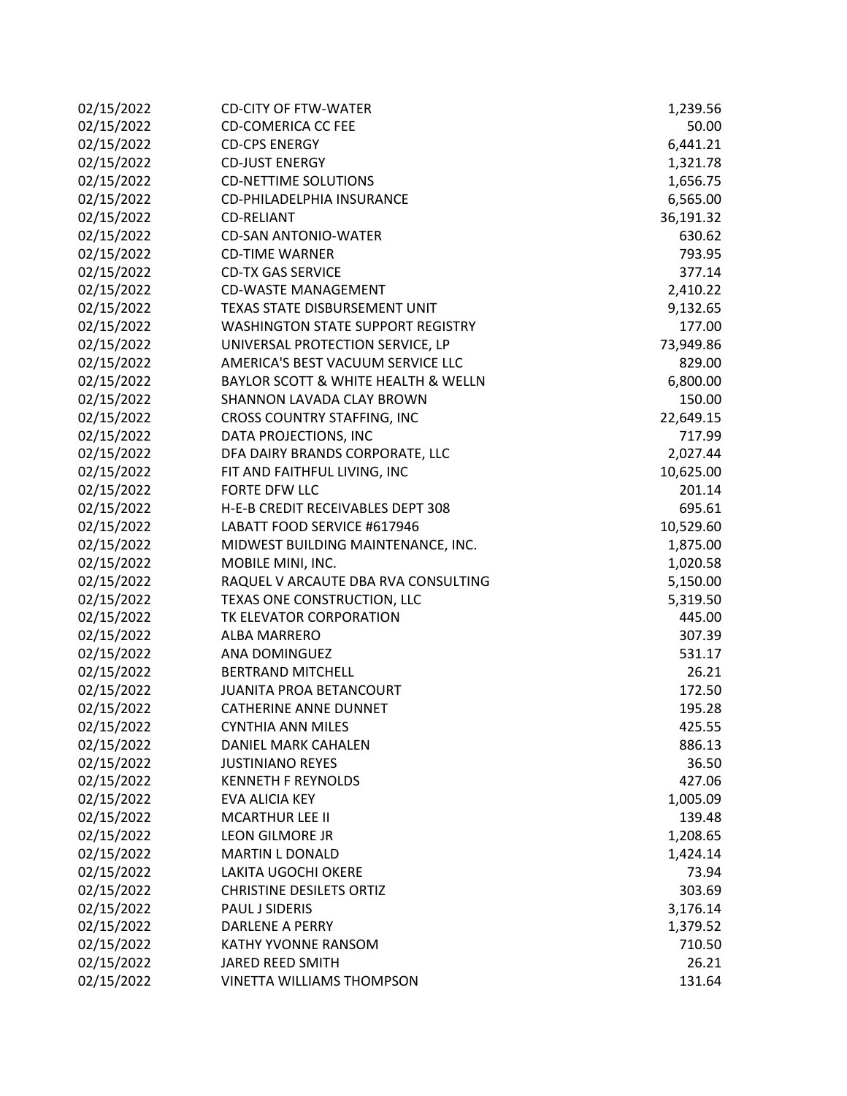| 02/15/2022 | <b>CD-CITY OF FTW-WATER</b>              | 1,239.56  |
|------------|------------------------------------------|-----------|
| 02/15/2022 | <b>CD-COMERICA CC FEE</b>                | 50.00     |
| 02/15/2022 | <b>CD-CPS ENERGY</b>                     | 6,441.21  |
| 02/15/2022 | <b>CD-JUST ENERGY</b>                    | 1,321.78  |
| 02/15/2022 | <b>CD-NETTIME SOLUTIONS</b>              | 1,656.75  |
| 02/15/2022 | CD-PHILADELPHIA INSURANCE                | 6,565.00  |
| 02/15/2022 | <b>CD-RELIANT</b>                        | 36,191.32 |
| 02/15/2022 | <b>CD-SAN ANTONIO-WATER</b>              | 630.62    |
| 02/15/2022 | <b>CD-TIME WARNER</b>                    | 793.95    |
| 02/15/2022 | <b>CD-TX GAS SERVICE</b>                 | 377.14    |
| 02/15/2022 | <b>CD-WASTE MANAGEMENT</b>               | 2,410.22  |
| 02/15/2022 | TEXAS STATE DISBURSEMENT UNIT            | 9,132.65  |
| 02/15/2022 | <b>WASHINGTON STATE SUPPORT REGISTRY</b> | 177.00    |
| 02/15/2022 | UNIVERSAL PROTECTION SERVICE, LP         | 73,949.86 |
| 02/15/2022 | AMERICA'S BEST VACUUM SERVICE LLC        | 829.00    |
| 02/15/2022 | BAYLOR SCOTT & WHITE HEALTH & WELLN      | 6,800.00  |
| 02/15/2022 | SHANNON LAVADA CLAY BROWN                | 150.00    |
| 02/15/2022 | CROSS COUNTRY STAFFING, INC              | 22,649.15 |
| 02/15/2022 | DATA PROJECTIONS, INC                    | 717.99    |
| 02/15/2022 | DFA DAIRY BRANDS CORPORATE, LLC          | 2,027.44  |
| 02/15/2022 | FIT AND FAITHFUL LIVING, INC             | 10,625.00 |
| 02/15/2022 | FORTE DFW LLC                            | 201.14    |
| 02/15/2022 | H-E-B CREDIT RECEIVABLES DEPT 308        | 695.61    |
| 02/15/2022 | LABATT FOOD SERVICE #617946              | 10,529.60 |
| 02/15/2022 | MIDWEST BUILDING MAINTENANCE, INC.       | 1,875.00  |
| 02/15/2022 | MOBILE MINI, INC.                        | 1,020.58  |
| 02/15/2022 | RAQUEL V ARCAUTE DBA RVA CONSULTING      | 5,150.00  |
| 02/15/2022 | TEXAS ONE CONSTRUCTION, LLC              | 5,319.50  |
| 02/15/2022 | TK ELEVATOR CORPORATION                  | 445.00    |
| 02/15/2022 | <b>ALBA MARRERO</b>                      | 307.39    |
| 02/15/2022 | ANA DOMINGUEZ                            | 531.17    |
| 02/15/2022 | <b>BERTRAND MITCHELL</b>                 | 26.21     |
| 02/15/2022 | <b>JUANITA PROA BETANCOURT</b>           | 172.50    |
| 02/15/2022 | <b>CATHERINE ANNE DUNNET</b>             | 195.28    |
| 02/15/2022 | <b>CYNTHIA ANN MILES</b>                 | 425.55    |
| 02/15/2022 | DANIEL MARK CAHALEN                      | 886.13    |
| 02/15/2022 | <b>JUSTINIANO REYES</b>                  | 36.50     |
| 02/15/2022 | <b>KENNETH F REYNOLDS</b>                | 427.06    |
| 02/15/2022 | EVA ALICIA KEY                           | 1,005.09  |
| 02/15/2022 | <b>MCARTHUR LEE II</b>                   | 139.48    |
| 02/15/2022 | LEON GILMORE JR                          | 1,208.65  |
| 02/15/2022 | <b>MARTIN L DONALD</b>                   | 1,424.14  |
| 02/15/2022 | <b>LAKITA UGOCHI OKERE</b>               | 73.94     |
| 02/15/2022 | <b>CHRISTINE DESILETS ORTIZ</b>          | 303.69    |
| 02/15/2022 | PAUL J SIDERIS                           | 3,176.14  |
| 02/15/2022 | <b>DARLENE A PERRY</b>                   | 1,379.52  |
| 02/15/2022 | <b>KATHY YVONNE RANSOM</b>               | 710.50    |
| 02/15/2022 | JARED REED SMITH                         | 26.21     |
| 02/15/2022 | VINETTA WILLIAMS THOMPSON                | 131.64    |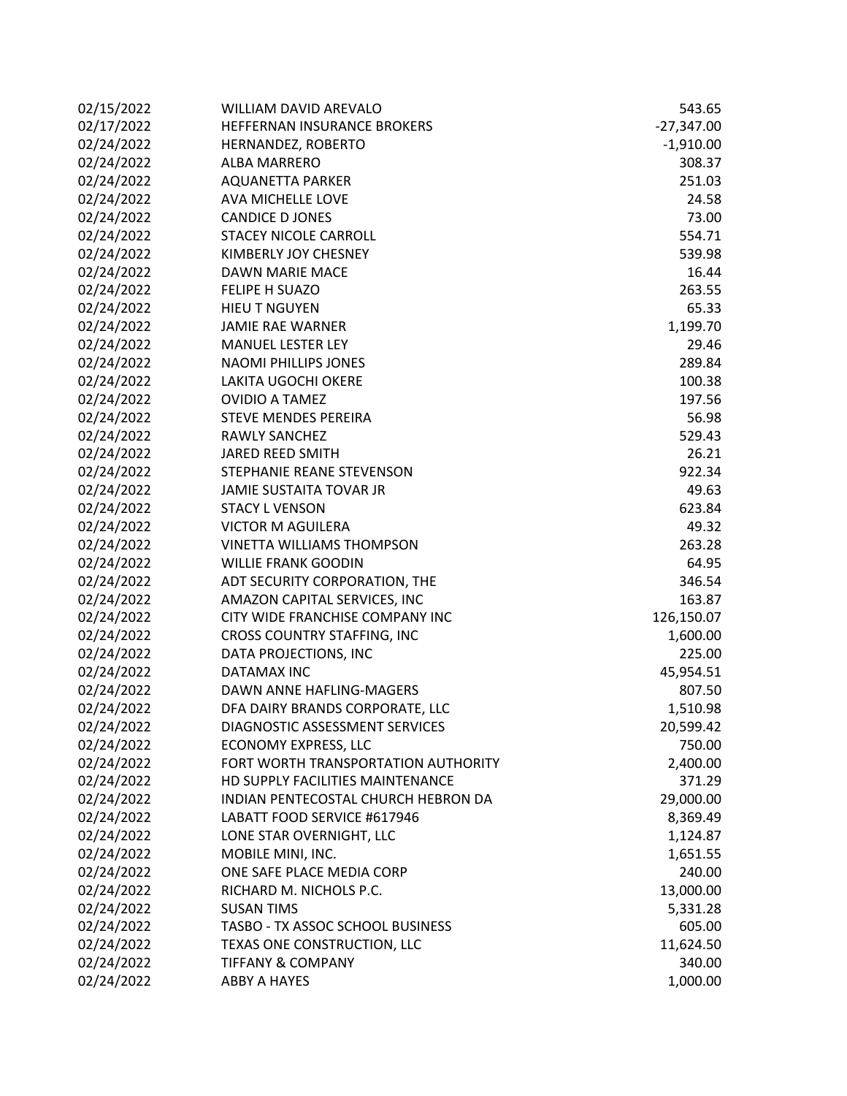| 02/15/2022 | <b>WILLIAM DAVID AREVALO</b>        | 543.65       |
|------------|-------------------------------------|--------------|
| 02/17/2022 | HEFFERNAN INSURANCE BROKERS         | $-27,347.00$ |
| 02/24/2022 | HERNANDEZ, ROBERTO                  | $-1,910.00$  |
| 02/24/2022 | <b>ALBA MARRERO</b>                 | 308.37       |
| 02/24/2022 | <b>AQUANETTA PARKER</b>             | 251.03       |
| 02/24/2022 | AVA MICHELLE LOVE                   | 24.58        |
| 02/24/2022 | <b>CANDICE D JONES</b>              | 73.00        |
| 02/24/2022 | <b>STACEY NICOLE CARROLL</b>        | 554.71       |
| 02/24/2022 | KIMBERLY JOY CHESNEY                | 539.98       |
| 02/24/2022 | <b>DAWN MARIE MACE</b>              | 16.44        |
| 02/24/2022 | <b>FELIPE H SUAZO</b>               | 263.55       |
| 02/24/2022 | <b>HIEU T NGUYEN</b>                | 65.33        |
| 02/24/2022 | <b>JAMIE RAE WARNER</b>             | 1,199.70     |
| 02/24/2022 | <b>MANUEL LESTER LEY</b>            | 29.46        |
| 02/24/2022 | <b>NAOMI PHILLIPS JONES</b>         | 289.84       |
| 02/24/2022 | LAKITA UGOCHI OKERE                 | 100.38       |
| 02/24/2022 | <b>OVIDIO A TAMEZ</b>               | 197.56       |
| 02/24/2022 | <b>STEVE MENDES PEREIRA</b>         | 56.98        |
| 02/24/2022 | <b>RAWLY SANCHEZ</b>                | 529.43       |
| 02/24/2022 | JARED REED SMITH                    | 26.21        |
| 02/24/2022 | STEPHANIE REANE STEVENSON           | 922.34       |
| 02/24/2022 | <b>JAMIE SUSTAITA TOVAR JR</b>      | 49.63        |
| 02/24/2022 | <b>STACY L VENSON</b>               | 623.84       |
| 02/24/2022 | <b>VICTOR M AGUILERA</b>            | 49.32        |
| 02/24/2022 | <b>VINETTA WILLIAMS THOMPSON</b>    | 263.28       |
| 02/24/2022 | <b>WILLIE FRANK GOODIN</b>          | 64.95        |
| 02/24/2022 | ADT SECURITY CORPORATION, THE       | 346.54       |
| 02/24/2022 | AMAZON CAPITAL SERVICES, INC        | 163.87       |
| 02/24/2022 | CITY WIDE FRANCHISE COMPANY INC     | 126,150.07   |
| 02/24/2022 | CROSS COUNTRY STAFFING, INC         | 1,600.00     |
| 02/24/2022 | DATA PROJECTIONS, INC               | 225.00       |
| 02/24/2022 | DATAMAX INC                         | 45,954.51    |
| 02/24/2022 | DAWN ANNE HAFLING-MAGERS            | 807.50       |
| 02/24/2022 | DFA DAIRY BRANDS CORPORATE, LLC     | 1,510.98     |
| 02/24/2022 | DIAGNOSTIC ASSESSMENT SERVICES      | 20,599.42    |
| 02/24/2022 | ECONOMY EXPRESS, LLC                | 750.00       |
| 02/24/2022 | FORT WORTH TRANSPORTATION AUTHORITY | 2,400.00     |
| 02/24/2022 | HD SUPPLY FACILITIES MAINTENANCE    | 371.29       |
| 02/24/2022 | INDIAN PENTECOSTAL CHURCH HEBRON DA | 29,000.00    |
| 02/24/2022 | LABATT FOOD SERVICE #617946         | 8,369.49     |
| 02/24/2022 | LONE STAR OVERNIGHT, LLC            | 1,124.87     |
| 02/24/2022 | MOBILE MINI, INC.                   | 1,651.55     |
| 02/24/2022 | ONE SAFE PLACE MEDIA CORP           | 240.00       |
| 02/24/2022 | RICHARD M. NICHOLS P.C.             | 13,000.00    |
| 02/24/2022 | <b>SUSAN TIMS</b>                   | 5,331.28     |
| 02/24/2022 | TASBO - TX ASSOC SCHOOL BUSINESS    | 605.00       |
| 02/24/2022 | TEXAS ONE CONSTRUCTION, LLC         | 11,624.50    |
| 02/24/2022 | <b>TIFFANY &amp; COMPANY</b>        | 340.00       |
| 02/24/2022 | <b>ABBY A HAYES</b>                 | 1,000.00     |